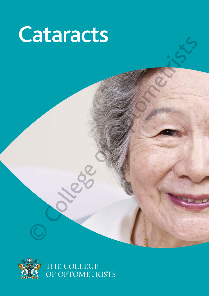# Cataracts<br>
Experience of Optometric of Optometric Science



THE COLLEGE<br>OF OPTOMETRISTS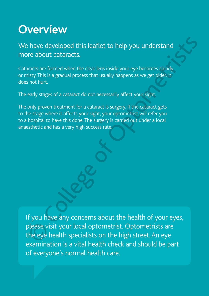### **Overview**

We have developed this leaflet to help you understand more about cataracts.

Cataracts are formed when the clear lens inside your eye becomes cloudy or misty. This is a gradual process that usually happens as we get older. It does not hurt.

The early stages of a cataract do not necessarily affect your sight.

The only proven treatment for a cataract is surgery. If the cataract gets to the stage where it affects your sight, your optometrist will refer you to a hospital to have this done. The surgery is carried out under a local anaesthetic and has a very high success rate.

If you have any concerns about the health of your eyes, please visit your local optometrist. Optometrists are the eye health specialists on the high street. An eye examination is a vital health check and should be part of everyone's normal health care. The street developed this leaflet to help you understand<br>
The about cataracts.<br>
The about cataracts are formed when the dear lens inside your eye becomes cloudy<br>
Sittists is a gradual process that usually happens as we get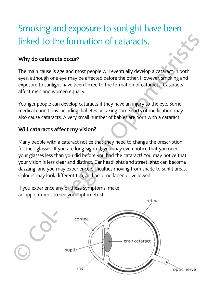## Smoking and exposure to sunlight have been

### **Why do cataracts occur?**

The main cause is age and most people will eventually develop a cataract in both eyes, although one eye may be affected before the other. However, smoking and exposure to sunlight have been linked to the formation of cataracts. Cataracts affect men and women equally.

Younger people can develop cataracts if they have an injury to the eye. Some medical conditions including diabetes or taking some sorts of medication may also cause cataracts. A very small number of babies are born with a cataract.

### **Will cataracts affect my vision?**

Many people with a cataract notice that they need to change the prescription for their glasses. If you are long-sighted, you may even notice that you need your glasses less than you did before you had the cataract! You may notice that your vision is less clear and distinct. Car headlights and streetlights can become dazzling, and you may experience difficulties moving from shade to sunlit areas. Colours may look different too, and become faded or yellowed. **Example 18 and Solution School School School School School School School School School School School School School School School School School School School School School School School School School School School School S** 

If you experience any of these symptoms, make an appointment to see your optometrist.

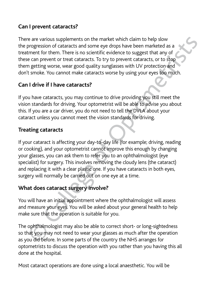### **Can I prevent cataracts?**

There are various supplements on the market which claim to help slow the progression of cataracts and some eye drops have been marketed as a treatment for them. There is no scientific evidence to suggest that any of these can prevent or treat cataracts. To try to prevent cataracts, or to stop them getting worse, wear good quality sunglasses with UV protection and don't smoke. You cannot make cataracts worse by using your eyes too much.

### **Can I drive if I have cataracts?**

If you have cataracts, you may continue to drive providing you still meet the vision standards for driving. Your optometrist will be able to advise you about this. If you are a car driver, you do not need to tell the DVLA about your cataract unless you cannot meet the vision standards for driving.

### **Treating cataracts**

If your cataract is affecting your day-to-day life (for example; driving, reading or cooking), and your optometrist cannot improve this enough by changing your glasses, you can ask them to refer you to an ophthalmologist (eye specialist) for surgery. This involves removing the cloudy lens (the cataract) and replacing it with a clear plastic one. If you have cataracts in both eyes, surgery will normally be carried out on one eye at a time. e are various supplements on the market which claim to help slow<br>orgerssion of cataracts and some eye drops have been marketed as a<br>furnent for them. There is no scientific evidence to suggest that any of<br>e can preevent or

### **What does cataract surgery involve?**

You will have an initial appointment where the ophthalmologist will assess and measure your eyes. You will be asked about your general health to help make sure that the operation is suitable for you.

The ophthalmologist may also be able to correct short- or long-sightedness so that you may not need to wear your glasses as much after the operation as you did before. In some parts of the country the NHS arranges for optometrists to discuss the operation with you rather than you having this all done at the hospital.

Most cataract operations are done using a local anaesthetic. You will be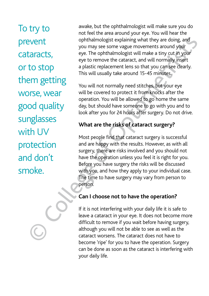To try to prevent cataracts, or to stop them getting worse, wear good quality sunglasses with UV protection and don't prevent<br>catarac<br>or to st<br>them g<br>worse,<br>good q<br>sunglas<br>with U'<br>protect<br>and do<br>smoke.

awake, but the ophthalmologist will make sure you do not feel the area around your eye. You will hear the ophthalmologist explaining what they are doing, and you may see some vague movements around your eye. The ophthalmologist will make a tiny cut in your eye to remove the cataract, and will normally insert a plastic replacement lens so that you can see clearly. This will usually take around 15-45 minutes.

You will not normally need stitches, but your eye will be covered to protect it from knocks after the operation. You will be allowed to go home the same day, but should have someone to go with you and to look after you for 24 hours after surgery. Do not drive.

### **What are the risks of cataract surgery?**

Most people find that cataract surgery is successful and are happy with the results. However, as with all surgery, there are risks involved and you should not have the operation unless you feel it is right for you. Before you have surgery the risks will be discussed with you, and how they apply to your individual case. The time to have surgery may vary from person to person. Example the population of the solution of the solution of the solution of the solution of the solution of the solutional state of the college of the solutional state of Opto This will usually take around 15-45 minutes.<br>
Th

### **Can I choose not to have the operation?**

If it is not interfering with your daily life it is safe to leave a cataract in your eye. It does not become more difficult to remove if you wait before having surgery, although you will not be able to see as well as the cataract worsens. The cataract does not have to become 'ripe' for you to have the operation. Surgery can be done as soon as the cataract is interfering with your daily life.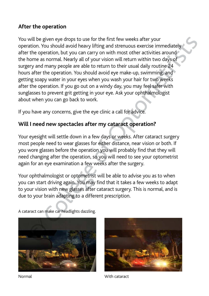### **After the operation**

You will be given eye drops to use for the first few weeks after your operation. You should avoid heavy lifting and strenuous exercise immediately after the operation, but you can carry on with most other activities around the home as normal. Nearly all of your vision will return within two days of surgery and many people are able to return to their usual daily routine 24 hours after the operation. You should avoid eye make-up, swimming, and getting soapy water in your eyes when you wash your hair for two weeks after the operation. If you go out on a windy day, you may feel safer with sunglasses to prevent grit getting in your eye. Ask your ophthalmologist about when you can go back to work. You will be given eye drops to use for the first few weeks after your<br>operation. You should avoid heavy lifting and stenuous exercise immediately<br>operation. You should avoid heavy lifting and stenuous exercise immediately<br>

If you have any concerns, give the eye clinic a call for advice.

### **Will I need new spectacles after my cataract operation?**

Your eyesight will settle down in a few days or weeks. After cataract surgery most people need to wear glasses for either distance, near vision or both. If you wore glasses before the operation you will probably find that they will need changing after the operation, so you will need to see your optometrist again for an eye examination a few weeks after the surgery.

Your ophthalmologist or optometrist will be able to advise you as to when you can start driving again. You may find that it takes a few weeks to adapt to your vision with new glasses after cataract surgery. This is normal, and is due to your brain adapting to a different prescription.





Normal With cataract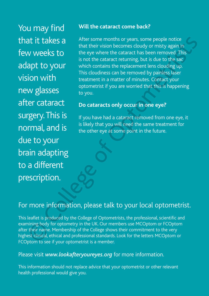You may find that it takes a few weeks to adapt to your vision with new glasses after cataract surgery. This is normal, and is due to your brain adapting to a different that it takes<br>few weeks to<br>adapt to you<br>vision with<br>new glasses<br>after catarac<br>surgery. This<br>normal, and<br>due to your<br>brain adaptin<br>to a differen<br>prescription.<br>For more inform<br>This leaflet is produce<br>examining body for op<br>af

### **Will the cataract come back?**

After some months or years, some people notice that their vision becomes cloudy or misty again in the eye where the cataract has been removed. This is not the cataract returning, but is due to the sac which contains the replacement lens clouding up. This cloudiness can be removed by painless laser treatment in a matter of minutes. Contact your optometrist if you are worried that this is happening to you. The intertwinding of the college of College shows the reference in the thermode.<br>
This colume that charact returning, but is due to the sacept<br> **College of Optometrists** of the cataract returning, but is due to the sacept<br>

### **Do cataracts only occur in one eye?**

If you have had a cataract removed from one eye, it is likely that you will need the same treatment for the other eye at some point in the future.

### For more information, please talk to your local optometrist.

This leaflet is produced by the College of Optometrists, the professional, scientific and examining body for optometry in the UK. Our members use MCOptom or FCOptom after their name. Membership of the College shows their commitment to the very highest clinical, ethical and professional standards. Look for the letters MCOptom or FCOptom to see if your optometrist is a member.

### Please visit *www.lookafteryoureyes.org* for more information.

This information should not replace advice that your optometrist or other relevant health professional would give you.